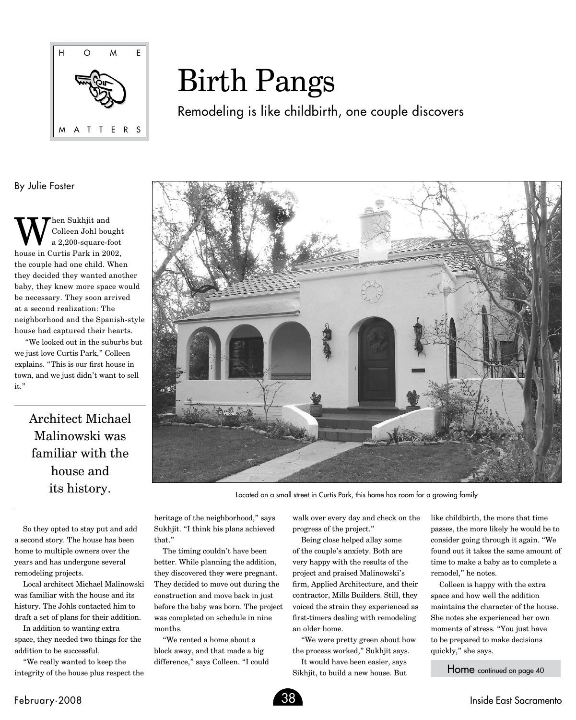

## Birth Pangs

Remodeling is like childbirth, one couple discovers

By Julie Foster

We Sukhjit and<br>a 2,200-square-form Colleen Johl bought a 2,200-square-foot house in Curtis Park in 2002, the couple had one child. When they decided they wanted another baby, they knew more space would be necessary. They soon arrived at a second realization: The neighborhood and the Spanish-style house had captured their hearts.

 "We looked out in the suburbs but we just love Curtis Park," Colleen explains. "This is our first house in town, and we just didn't want to sell it."

> Architect Michael Malinowski was familiar with the house and its history.



Located on a small street in Curtis Park, this home has room for a growing family

So they opted to stay put and add a second story. The house has been home to multiple owners over the years and has undergone several remodeling projects.

Local architect Michael Malinowski was familiar with the house and its history. The Johls contacted him to draft a set of plans for their addition.

In addition to wanting extra space, they needed two things for the addition to be successful.

"We really wanted to keep the integrity of the house plus respect the heritage of the neighborhood," says Sukhjit. "I think his plans achieved that."

The timing couldn't have been better. While planning the addition, they discovered they were pregnant. They decided to move out during the construction and move back in just before the baby was born. The project was completed on schedule in nine months.

"We rented a home about a block away, and that made a big difference," says Colleen. "I could walk over every day and check on the progress of the project."

Being close helped allay some of the couple's anxiety. Both are very happy with the results of the project and praised Malinowski's firm, Applied Architecture, and their contractor, Mills Builders. Still, they voiced the strain they experienced as first-timers dealing with remodeling an older home.

"We were pretty green about how the process worked," Sukhjit says.

It would have been easier, says Sikhjit, to build a new house. But like childbirth, the more that time passes, the more likely he would be to consider going through it again. "We found out it takes the same amount of time to make a baby as to complete a remodel," he notes.

Colleen is happy with the extra space and how well the addition maintains the character of the house. She notes she experienced her own moments of stress. "You just have to be prepared to make decisions quickly," she says.

Home continued on page 40